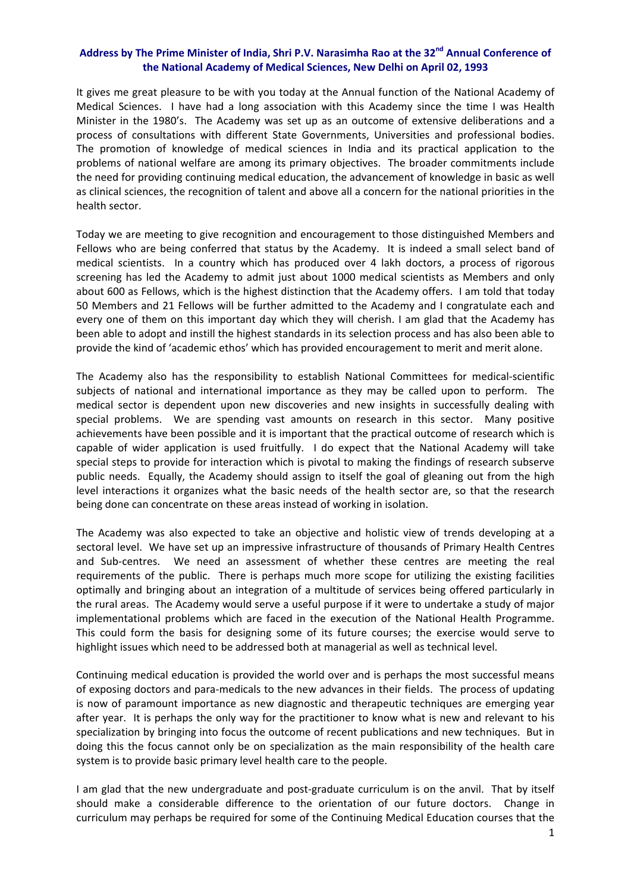## **Address by The Prime Minister of India, Shri P.V. Narasimha Rao at the 32nd Annual Conference of the National Academy of Medical Sciences, New Delhi on April 02, 1993**

It gives me great pleasure to be with you today at the Annual function of the National Academy of Medical Sciences. I have had a long association with this Academy since the time I was Health Minister in the 1980's. The Academy was set up as an outcome of extensive deliberations and a process of consultations with different State Governments, Universities and professional bodies. The promotion of knowledge of medical sciences in India and its practical application to the problems of national welfare are among its primary objectives. The broader commitments include the need for providing continuing medical education, the advancement of knowledge in basic as well as clinical sciences, the recognition of talent and above all a concern for the national priorities in the health sector.

Today we are meeting to give recognition and encouragement to those distinguished Members and Fellows who are being conferred that status by the Academy. It is indeed a small select band of medical scientists. In a country which has produced over 4 lakh doctors, a process of rigorous screening has led the Academy to admit just about 1000 medical scientists as Members and only about 600 as Fellows, which is the highest distinction that the Academy offers. I am told that today 50 Members and 21 Fellows will be further admitted to the Academy and I congratulate each and every one of them on this important day which they will cherish. I am glad that the Academy has been able to adopt and instill the highest standards in its selection process and has also been able to provide the kind of 'academic ethos' which has provided encouragement to merit and merit alone.

The Academy also has the responsibility to establish National Committees for medical‐scientific subjects of national and international importance as they may be called upon to perform. The medical sector is dependent upon new discoveries and new insights in successfully dealing with special problems. We are spending vast amounts on research in this sector. Many positive achievements have been possible and it is important that the practical outcome of research which is capable of wider application is used fruitfully. I do expect that the National Academy will take special steps to provide for interaction which is pivotal to making the findings of research subserve public needs. Equally, the Academy should assign to itself the goal of gleaning out from the high level interactions it organizes what the basic needs of the health sector are, so that the research being done can concentrate on these areas instead of working in isolation.

The Academy was also expected to take an objective and holistic view of trends developing at a sectoral level. We have set up an impressive infrastructure of thousands of Primary Health Centres and Sub-centres. We need an assessment of whether these centres are meeting the real requirements of the public. There is perhaps much more scope for utilizing the existing facilities optimally and bringing about an integration of a multitude of services being offered particularly in the rural areas. The Academy would serve a useful purpose if it were to undertake a study of major implementational problems which are faced in the execution of the National Health Programme. This could form the basis for designing some of its future courses; the exercise would serve to highlight issues which need to be addressed both at managerial as well as technical level.

Continuing medical education is provided the world over and is perhaps the most successful means of exposing doctors and para‐medicals to the new advances in their fields. The process of updating is now of paramount importance as new diagnostic and therapeutic techniques are emerging year after year. It is perhaps the only way for the practitioner to know what is new and relevant to his specialization by bringing into focus the outcome of recent publications and new techniques. But in doing this the focus cannot only be on specialization as the main responsibility of the health care system is to provide basic primary level health care to the people.

I am glad that the new undergraduate and post‐graduate curriculum is on the anvil. That by itself should make a considerable difference to the orientation of our future doctors. Change in curriculum may perhaps be required for some of the Continuing Medical Education courses that the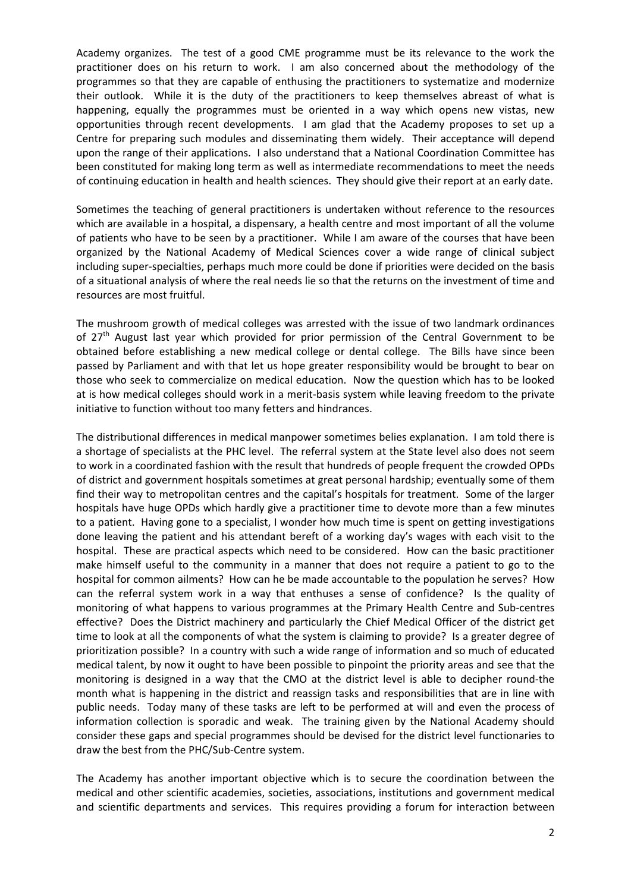Academy organizes. The test of a good CME programme must be its relevance to the work the practitioner does on his return to work. I am also concerned about the methodology of the programmes so that they are capable of enthusing the practitioners to systematize and modernize their outlook. While it is the duty of the practitioners to keep themselves abreast of what is happening, equally the programmes must be oriented in a way which opens new vistas, new opportunities through recent developments. I am glad that the Academy proposes to set up a Centre for preparing such modules and disseminating them widely. Their acceptance will depend upon the range of their applications. I also understand that a National Coordination Committee has been constituted for making long term as well as intermediate recommendations to meet the needs of continuing education in health and health sciences. They should give their report at an early date.

Sometimes the teaching of general practitioners is undertaken without reference to the resources which are available in a hospital, a dispensary, a health centre and most important of all the volume of patients who have to be seen by a practitioner. While I am aware of the courses that have been organized by the National Academy of Medical Sciences cover a wide range of clinical subject including super‐specialties, perhaps much more could be done if priorities were decided on the basis of a situational analysis of where the real needs lie so that the returns on the investment of time and resources are most fruitful.

The mushroom growth of medical colleges was arrested with the issue of two landmark ordinances of  $27<sup>th</sup>$  August last year which provided for prior permission of the Central Government to be obtained before establishing a new medical college or dental college. The Bills have since been passed by Parliament and with that let us hope greater responsibility would be brought to bear on those who seek to commercialize on medical education. Now the question which has to be looked at is how medical colleges should work in a merit-basis system while leaving freedom to the private initiative to function without too many fetters and hindrances.

The distributional differences in medical manpower sometimes belies explanation. I am told there is a shortage of specialists at the PHC level. The referral system at the State level also does not seem to work in a coordinated fashion with the result that hundreds of people frequent the crowded OPDs of district and government hospitals sometimes at great personal hardship; eventually some of them find their way to metropolitan centres and the capital's hospitals for treatment. Some of the larger hospitals have huge OPDs which hardly give a practitioner time to devote more than a few minutes to a patient. Having gone to a specialist, I wonder how much time is spent on getting investigations done leaving the patient and his attendant bereft of a working day's wages with each visit to the hospital. These are practical aspects which need to be considered. How can the basic practitioner make himself useful to the community in a manner that does not require a patient to go to the hospital for common ailments? How can he be made accountable to the population he serves? How can the referral system work in a way that enthuses a sense of confidence? Is the quality of monitoring of what happens to various programmes at the Primary Health Centre and Sub‐centres effective? Does the District machinery and particularly the Chief Medical Officer of the district get time to look at all the components of what the system is claiming to provide? Is a greater degree of prioritization possible? In a country with such a wide range of information and so much of educated medical talent, by now it ought to have been possible to pinpoint the priority areas and see that the monitoring is designed in a way that the CMO at the district level is able to decipher round-the month what is happening in the district and reassign tasks and responsibilities that are in line with public needs. Today many of these tasks are left to be performed at will and even the process of information collection is sporadic and weak. The training given by the National Academy should consider these gaps and special programmes should be devised for the district level functionaries to draw the best from the PHC/Sub‐Centre system.

The Academy has another important objective which is to secure the coordination between the medical and other scientific academies, societies, associations, institutions and government medical and scientific departments and services. This requires providing a forum for interaction between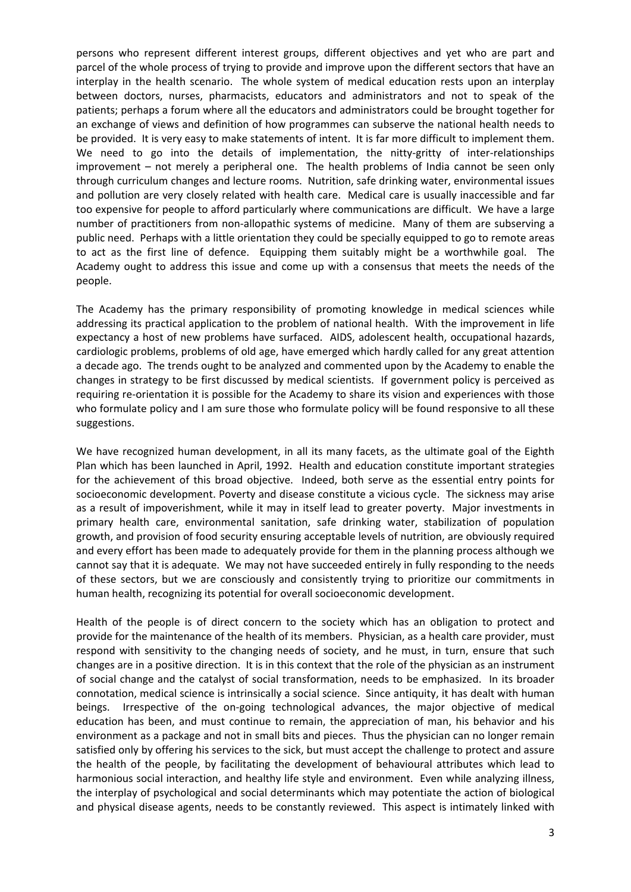persons who represent different interest groups, different objectives and yet who are part and parcel of the whole process of trying to provide and improve upon the different sectors that have an interplay in the health scenario. The whole system of medical education rests upon an interplay between doctors, nurses, pharmacists, educators and administrators and not to speak of the patients; perhaps a forum where all the educators and administrators could be brought together for an exchange of views and definition of how programmes can subserve the national health needs to be provided. It is very easy to make statements of intent. It is far more difficult to implement them. We need to go into the details of implementation, the nitty-gritty of inter-relationships improvement – not merely a peripheral one. The health problems of India cannot be seen only through curriculum changes and lecture rooms. Nutrition, safe drinking water, environmental issues and pollution are very closely related with health care. Medical care is usually inaccessible and far too expensive for people to afford particularly where communications are difficult. We have a large number of practitioners from non-allopathic systems of medicine. Many of them are subserving a public need. Perhaps with a little orientation they could be specially equipped to go to remote areas to act as the first line of defence. Equipping them suitably might be a worthwhile goal. The Academy ought to address this issue and come up with a consensus that meets the needs of the people.

The Academy has the primary responsibility of promoting knowledge in medical sciences while addressing its practical application to the problem of national health. With the improvement in life expectancy a host of new problems have surfaced. AIDS, adolescent health, occupational hazards, cardiologic problems, problems of old age, have emerged which hardly called for any great attention a decade ago. The trends ought to be analyzed and commented upon by the Academy to enable the changes in strategy to be first discussed by medical scientists. If government policy is perceived as requiring re‐orientation it is possible for the Academy to share its vision and experiences with those who formulate policy and I am sure those who formulate policy will be found responsive to all these suggestions.

We have recognized human development, in all its many facets, as the ultimate goal of the Eighth Plan which has been launched in April, 1992. Health and education constitute important strategies for the achievement of this broad objective. Indeed, both serve as the essential entry points for socioeconomic development. Poverty and disease constitute a vicious cycle. The sickness may arise as a result of impoverishment, while it may in itself lead to greater poverty. Major investments in primary health care, environmental sanitation, safe drinking water, stabilization of population growth, and provision of food security ensuring acceptable levels of nutrition, are obviously required and every effort has been made to adequately provide for them in the planning process although we cannot say that it is adequate. We may not have succeeded entirely in fully responding to the needs of these sectors, but we are consciously and consistently trying to prioritize our commitments in human health, recognizing its potential for overall socioeconomic development.

Health of the people is of direct concern to the society which has an obligation to protect and provide for the maintenance of the health of its members. Physician, as a health care provider, must respond with sensitivity to the changing needs of society, and he must, in turn, ensure that such changes are in a positive direction. It is in this context that the role of the physician as an instrument of social change and the catalyst of social transformation, needs to be emphasized. In its broader connotation, medical science is intrinsically a social science. Since antiquity, it has dealt with human beings. Irrespective of the on-going technological advances, the major objective of medical education has been, and must continue to remain, the appreciation of man, his behavior and his environment as a package and not in small bits and pieces. Thus the physician can no longer remain satisfied only by offering his services to the sick, but must accept the challenge to protect and assure the health of the people, by facilitating the development of behavioural attributes which lead to harmonious social interaction, and healthy life style and environment. Even while analyzing illness, the interplay of psychological and social determinants which may potentiate the action of biological and physical disease agents, needs to be constantly reviewed. This aspect is intimately linked with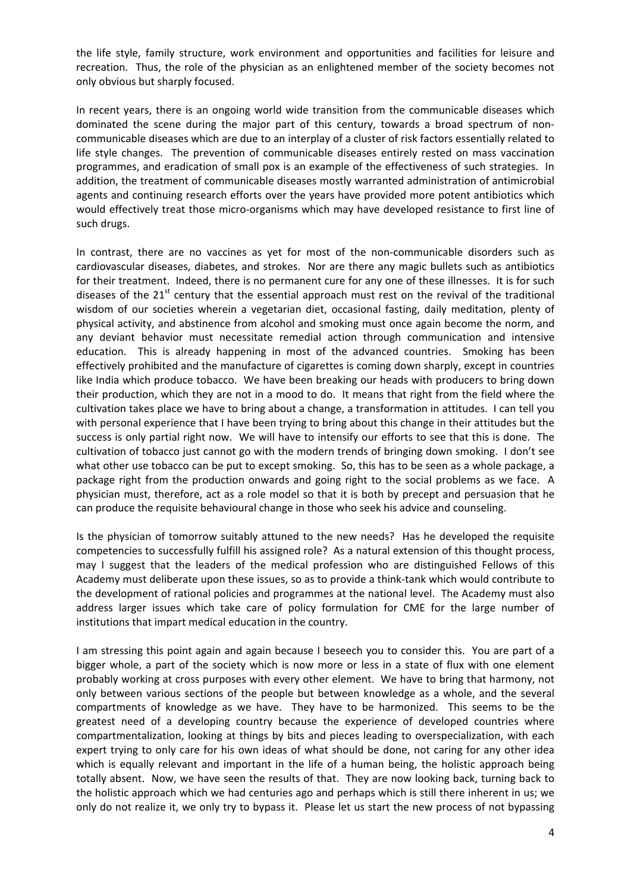the life style, family structure, work environment and opportunities and facilities for leisure and recreation. Thus, the role of the physician as an enlightened member of the society becomes not only obvious but sharply focused.

In recent years, there is an ongoing world wide transition from the communicable diseases which dominated the scene during the major part of this century, towards a broad spectrum of non‐ communicable diseases which are due to an interplay of a cluster of risk factors essentially related to life style changes. The prevention of communicable diseases entirely rested on mass vaccination programmes, and eradication of small pox is an example of the effectiveness of such strategies. In addition, the treatment of communicable diseases mostly warranted administration of antimicrobial agents and continuing research efforts over the years have provided more potent antibiotics which would effectively treat those micro-organisms which may have developed resistance to first line of such drugs.

In contrast, there are no vaccines as yet for most of the non-communicable disorders such as cardiovascular diseases, diabetes, and strokes. Nor are there any magic bullets such as antibiotics for their treatment. Indeed, there is no permanent cure for any one of these illnesses. It is for such diseases of the  $21<sup>st</sup>$  century that the essential approach must rest on the revival of the traditional wisdom of our societies wherein a vegetarian diet, occasional fasting, daily meditation, plenty of physical activity, and abstinence from alcohol and smoking must once again become the norm, and any deviant behavior must necessitate remedial action through communication and intensive education. This is already happening in most of the advanced countries. Smoking has been effectively prohibited and the manufacture of cigarettes is coming down sharply, except in countries like India which produce tobacco. We have been breaking our heads with producers to bring down their production, which they are not in a mood to do. It means that right from the field where the cultivation takes place we have to bring about a change, a transformation in attitudes. I can tell you with personal experience that I have been trying to bring about this change in their attitudes but the success is only partial right now. We will have to intensify our efforts to see that this is done. The cultivation of tobacco just cannot go with the modern trends of bringing down smoking. I don't see what other use tobacco can be put to except smoking. So, this has to be seen as a whole package, a package right from the production onwards and going right to the social problems as we face. A physician must, therefore, act as a role model so that it is both by precept and persuasion that he can produce the requisite behavioural change in those who seek his advice and counseling.

Is the physician of tomorrow suitably attuned to the new needs? Has he developed the requisite competencies to successfully fulfill his assigned role? As a natural extension of this thought process, may I suggest that the leaders of the medical profession who are distinguished Fellows of this Academy must deliberate upon these issues, so as to provide a think‐tank which would contribute to the development of rational policies and programmes at the national level. The Academy must also address larger issues which take care of policy formulation for CME for the large number of institutions that impart medical education in the country.

I am stressing this point again and again because I beseech you to consider this. You are part of a bigger whole, a part of the society which is now more or less in a state of flux with one element probably working at cross purposes with every other element. We have to bring that harmony, not only between various sections of the people but between knowledge as a whole, and the several compartments of knowledge as we have. They have to be harmonized. This seems to be the greatest need of a developing country because the experience of developed countries where compartmentalization, looking at things by bits and pieces leading to overspecialization, with each expert trying to only care for his own ideas of what should be done, not caring for any other idea which is equally relevant and important in the life of a human being, the holistic approach being totally absent. Now, we have seen the results of that. They are now looking back, turning back to the holistic approach which we had centuries ago and perhaps which is still there inherent in us; we only do not realize it, we only try to bypass it. Please let us start the new process of not bypassing